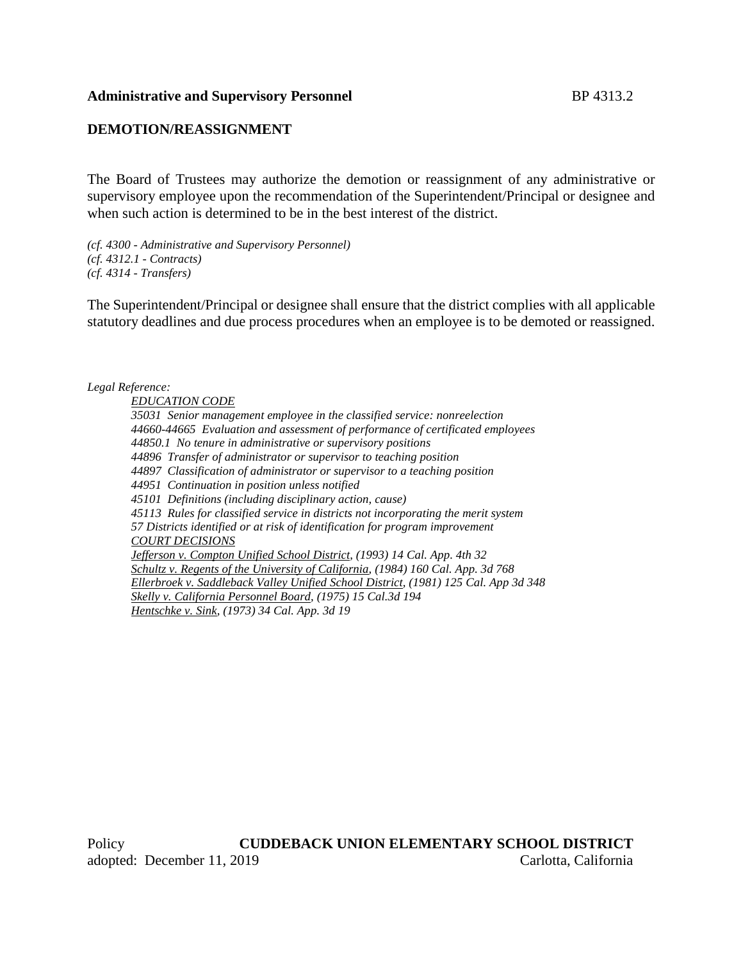#### **Administrative and Supervisory Personnel** BP 4313.2

# **DEMOTION/REASSIGNMENT**

The Board of Trustees may authorize the demotion or reassignment of any administrative or supervisory employee upon the recommendation of the Superintendent/Principal or designee and when such action is determined to be in the best interest of the district.

*(cf. 4300 - Administrative and Supervisory Personnel) (cf. 4312.1 - Contracts) (cf. 4314 - Transfers)*

The Superintendent/Principal or designee shall ensure that the district complies with all applicable statutory deadlines and due process procedures when an employee is to be demoted or reassigned.

*Legal Reference:*

*EDUCATION CODE 35031 Senior management employee in the classified service: nonreelection 44660-44665 Evaluation and assessment of performance of certificated employees 44850.1 No tenure in administrative or supervisory positions 44896 Transfer of administrator or supervisor to teaching position 44897 Classification of administrator or supervisor to a teaching position 44951 Continuation in position unless notified 45101 Definitions (including disciplinary action, cause) 45113 Rules for classified service in districts not incorporating the merit system 57 Districts identified or at risk of identification for program improvement COURT DECISIONS Jefferson v. Compton Unified School District, (1993) 14 Cal. App. 4th 32 Schultz v. Regents of the University of California, (1984) 160 Cal. App. 3d 768 Ellerbroek v. Saddleback Valley Unified School District, (1981) 125 Cal. App 3d 348 Skelly v. California Personnel Board, (1975) 15 Cal.3d 194 Hentschke v. Sink, (1973) 34 Cal. App. 3d 19*

Policy **CUDDEBACK UNION ELEMENTARY SCHOOL DISTRICT** adopted: December 11, 2019 Carlotta, California